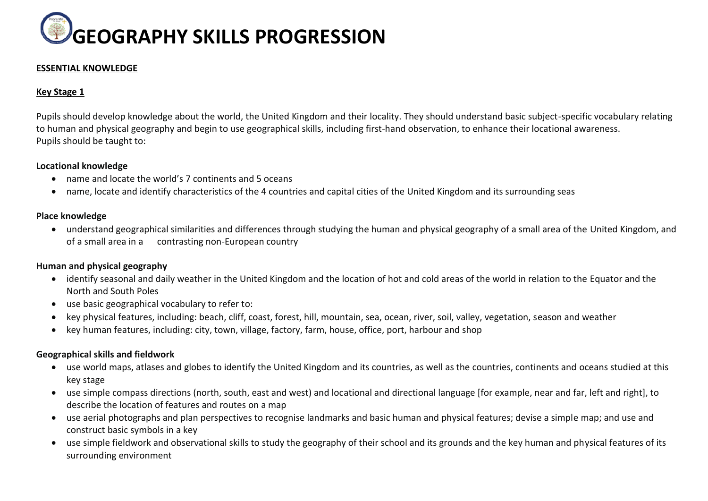

### **ESSENTIAL KNOWLEDGE**

# **Key Stage 1**

Pupils should develop knowledge about the world, the United Kingdom and their locality. They should understand basic subject-specific vocabulary relating to human and physical geography and begin to use geographical skills, including first-hand observation, to enhance their locational awareness. Pupils should be taught to:

#### **Locational knowledge**

- name and locate the world's 7 continents and 5 oceans
- name, locate and identify characteristics of the 4 countries and capital cities of the United Kingdom and its surrounding seas

### **Place knowledge**

• understand geographical similarities and differences through studying the human and physical geography of a small area of the United Kingdom, and of a small area in a contrasting non-European country

# **Human and physical geography**

- identify seasonal and daily weather in the United Kingdom and the location of hot and cold areas of the world in relation to the Equator and the North and South Poles
- use basic geographical vocabulary to refer to:
- key physical features, including: beach, cliff, coast, forest, hill, mountain, sea, ocean, river, soil, valley, vegetation, season and weather
- key human features, including: city, town, village, factory, farm, house, office, port, harbour and shop

# **Geographical skills and fieldwork**

- use world maps, atlases and globes to identify the United Kingdom and its countries, as well as the countries, continents and oceans studied at this key stage
- use simple compass directions (north, south, east and west) and locational and directional language [for example, near and far, left and right], to describe the location of features and routes on a map
- use aerial photographs and plan perspectives to recognise landmarks and basic human and physical features; devise a simple map; and use and construct basic symbols in a key
- use simple fieldwork and observational skills to study the geography of their school and its grounds and the key human and physical features of its surrounding environment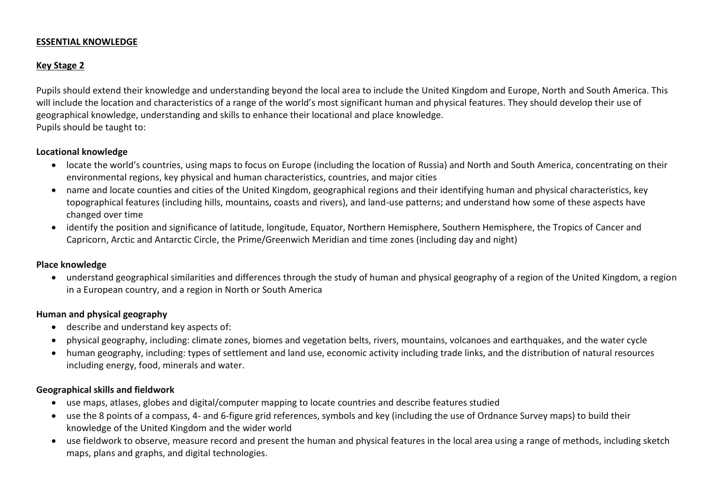## **ESSENTIAL KNOWLEDGE**

# **Key Stage 2**

Pupils should extend their knowledge and understanding beyond the local area to include the United Kingdom and Europe, North and South America. This will include the location and characteristics of a range of the world's most significant human and physical features. They should develop their use of geographical knowledge, understanding and skills to enhance their locational and place knowledge. Pupils should be taught to:

#### **Locational knowledge**

- locate the world's countries, using maps to focus on Europe (including the location of Russia) and North and South America, concentrating on their environmental regions, key physical and human characteristics, countries, and major cities
- name and locate counties and cities of the United Kingdom, geographical regions and their identifying human and physical characteristics, key topographical features (including hills, mountains, coasts and rivers), and land-use patterns; and understand how some of these aspects have changed over time
- identify the position and significance of latitude, longitude, Equator, Northern Hemisphere, Southern Hemisphere, the Tropics of Cancer and Capricorn, Arctic and Antarctic Circle, the Prime/Greenwich Meridian and time zones (including day and night)

# **Place knowledge**

• understand geographical similarities and differences through the study of human and physical geography of a region of the United Kingdom, a region in a European country, and a region in North or South America

# **Human and physical geography**

- describe and understand key aspects of:
- physical geography, including: climate zones, biomes and vegetation belts, rivers, mountains, volcanoes and earthquakes, and the water cycle
- human geography, including: types of settlement and land use, economic activity including trade links, and the distribution of natural resources including energy, food, minerals and water.

# **Geographical skills and fieldwork**

- use maps, atlases, globes and digital/computer mapping to locate countries and describe features studied
- use the 8 points of a compass, 4- and 6-figure grid references, symbols and key (including the use of Ordnance Survey maps) to build their knowledge of the United Kingdom and the wider world
- use fieldwork to observe, measure record and present the human and physical features in the local area using a range of methods, including sketch maps, plans and graphs, and digital technologies.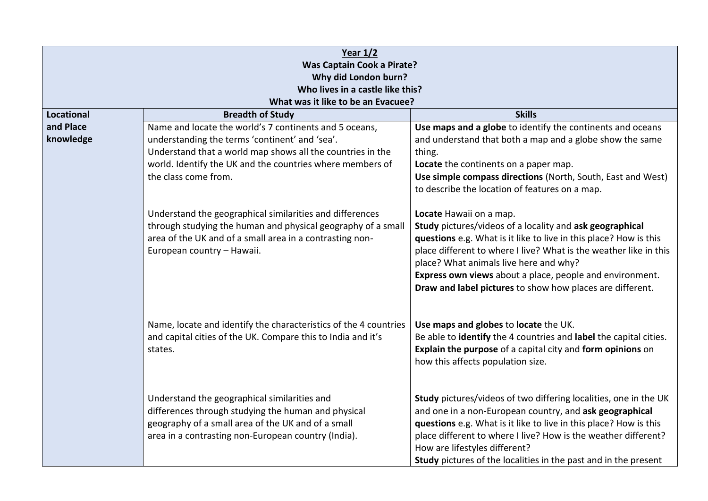| Year $1/2$<br><b>Was Captain Cook a Pirate?</b><br>Why did London burn?<br>Who lives in a castle like this?<br>What was it like to be an Evacuee? |                                                                                                                                                                                                                    |                                                                                                                                                                                                                                                                                                                                                                                                  |  |
|---------------------------------------------------------------------------------------------------------------------------------------------------|--------------------------------------------------------------------------------------------------------------------------------------------------------------------------------------------------------------------|--------------------------------------------------------------------------------------------------------------------------------------------------------------------------------------------------------------------------------------------------------------------------------------------------------------------------------------------------------------------------------------------------|--|
| <b>Locational</b>                                                                                                                                 | <b>Breadth of Study</b>                                                                                                                                                                                            | <b>Skills</b>                                                                                                                                                                                                                                                                                                                                                                                    |  |
| and Place                                                                                                                                         | Name and locate the world's 7 continents and 5 oceans,                                                                                                                                                             | Use maps and a globe to identify the continents and oceans                                                                                                                                                                                                                                                                                                                                       |  |
| knowledge                                                                                                                                         | understanding the terms 'continent' and 'sea'.<br>Understand that a world map shows all the countries in the<br>world. Identify the UK and the countries where members of<br>the class come from.                  | and understand that both a map and a globe show the same<br>thing.<br>Locate the continents on a paper map.<br>Use simple compass directions (North, South, East and West)<br>to describe the location of features on a map.                                                                                                                                                                     |  |
|                                                                                                                                                   | Understand the geographical similarities and differences<br>through studying the human and physical geography of a small<br>area of the UK and of a small area in a contrasting non-<br>European country - Hawaii. | Locate Hawaii on a map.<br>Study pictures/videos of a locality and ask geographical<br>questions e.g. What is it like to live in this place? How is this<br>place different to where I live? What is the weather like in this<br>place? What animals live here and why?<br>Express own views about a place, people and environment.<br>Draw and label pictures to show how places are different. |  |
|                                                                                                                                                   | Name, locate and identify the characteristics of the 4 countries<br>and capital cities of the UK. Compare this to India and it's<br>states.                                                                        | Use maps and globes to locate the UK.<br>Be able to identify the 4 countries and label the capital cities.<br>Explain the purpose of a capital city and form opinions on<br>how this affects population size.                                                                                                                                                                                    |  |
|                                                                                                                                                   | Understand the geographical similarities and<br>differences through studying the human and physical<br>geography of a small area of the UK and of a small<br>area in a contrasting non-European country (India).   | Study pictures/videos of two differing localities, one in the UK<br>and one in a non-European country, and ask geographical<br>questions e.g. What is it like to live in this place? How is this<br>place different to where I live? How is the weather different?<br>How are lifestyles different?<br>Study pictures of the localities in the past and in the present                           |  |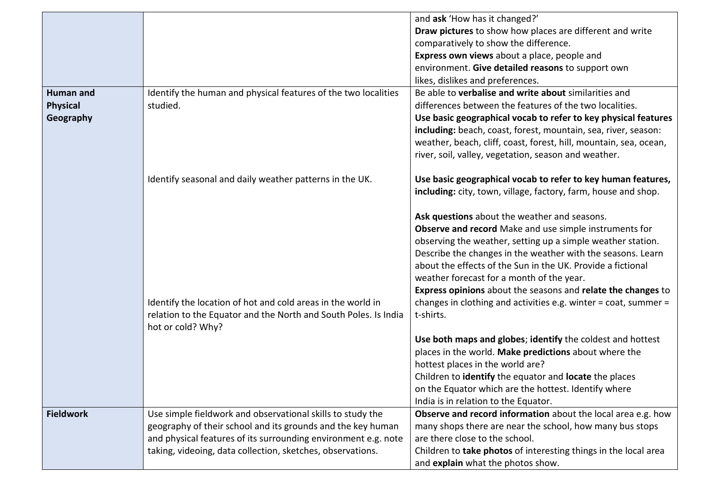|                  |                                                                                      | and ask 'How has it changed?'                                     |
|------------------|--------------------------------------------------------------------------------------|-------------------------------------------------------------------|
|                  |                                                                                      | Draw pictures to show how places are different and write          |
|                  |                                                                                      | comparatively to show the difference.                             |
|                  |                                                                                      | Express own views about a place, people and                       |
|                  |                                                                                      | environment. Give detailed reasons to support own                 |
|                  |                                                                                      | likes, dislikes and preferences.                                  |
| <b>Human and</b> | Identify the human and physical features of the two localities                       | Be able to verbalise and write about similarities and             |
| <b>Physical</b>  | studied.                                                                             | differences between the features of the two localities.           |
| Geography        |                                                                                      | Use basic geographical vocab to refer to key physical features    |
|                  |                                                                                      | including: beach, coast, forest, mountain, sea, river, season:    |
|                  |                                                                                      | weather, beach, cliff, coast, forest, hill, mountain, sea, ocean, |
|                  |                                                                                      | river, soil, valley, vegetation, season and weather.              |
|                  | Identify seasonal and daily weather patterns in the UK.                              | Use basic geographical vocab to refer to key human features,      |
|                  |                                                                                      | including: city, town, village, factory, farm, house and shop.    |
|                  |                                                                                      | Ask questions about the weather and seasons.                      |
|                  |                                                                                      | Observe and record Make and use simple instruments for            |
|                  |                                                                                      | observing the weather, setting up a simple weather station.       |
|                  |                                                                                      | Describe the changes in the weather with the seasons. Learn       |
|                  |                                                                                      | about the effects of the Sun in the UK. Provide a fictional       |
|                  |                                                                                      | weather forecast for a month of the year.                         |
|                  |                                                                                      | Express opinions about the seasons and relate the changes to      |
|                  | Identify the location of hot and cold areas in the world in                          | changes in clothing and activities e.g. winter = coat, summer =   |
|                  | relation to the Equator and the North and South Poles. Is India<br>hot or cold? Why? | t-shirts.                                                         |
|                  |                                                                                      | Use both maps and globes; identify the coldest and hottest        |
|                  |                                                                                      | places in the world. Make predictions about where the             |
|                  |                                                                                      | hottest places in the world are?                                  |
|                  |                                                                                      | Children to identify the equator and locate the places            |
|                  |                                                                                      | on the Equator which are the hottest. Identify where              |
|                  |                                                                                      | India is in relation to the Equator.                              |
| <b>Fieldwork</b> | Use simple fieldwork and observational skills to study the                           | Observe and record information about the local area e.g. how      |
|                  | geography of their school and its grounds and the key human                          | many shops there are near the school, how many bus stops          |
|                  | and physical features of its surrounding environment e.g. note                       | are there close to the school.                                    |
|                  | taking, videoing, data collection, sketches, observations.                           | Children to take photos of interesting things in the local area   |
|                  |                                                                                      | and explain what the photos show.                                 |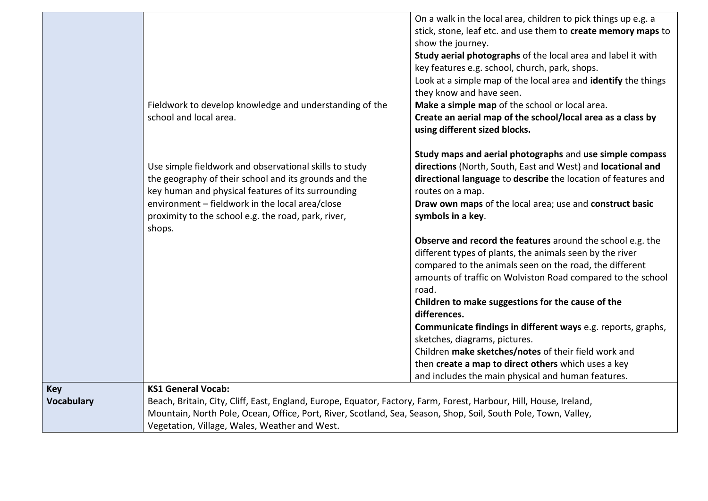|                   |                                                                                                                    | On a walk in the local area, children to pick things up e.g. a                               |
|-------------------|--------------------------------------------------------------------------------------------------------------------|----------------------------------------------------------------------------------------------|
|                   |                                                                                                                    | stick, stone, leaf etc. and use them to create memory maps to                                |
|                   |                                                                                                                    | show the journey.                                                                            |
|                   |                                                                                                                    | Study aerial photographs of the local area and label it with                                 |
|                   |                                                                                                                    | key features e.g. school, church, park, shops.                                               |
|                   |                                                                                                                    | Look at a simple map of the local area and identify the things                               |
|                   |                                                                                                                    | they know and have seen.                                                                     |
|                   | Fieldwork to develop knowledge and understanding of the                                                            | Make a simple map of the school or local area.                                               |
|                   | school and local area.                                                                                             | Create an aerial map of the school/local area as a class by<br>using different sized blocks. |
|                   |                                                                                                                    | Study maps and aerial photographs and use simple compass                                     |
|                   | Use simple fieldwork and observational skills to study                                                             | directions (North, South, East and West) and locational and                                  |
|                   | the geography of their school and its grounds and the                                                              | directional language to describe the location of features and                                |
|                   | key human and physical features of its surrounding                                                                 | routes on a map.                                                                             |
|                   | environment - fieldwork in the local area/close                                                                    | Draw own maps of the local area; use and construct basic                                     |
|                   | proximity to the school e.g. the road, park, river,                                                                | symbols in a key.                                                                            |
|                   | shops.                                                                                                             | Observe and record the features around the school e.g. the                                   |
|                   |                                                                                                                    | different types of plants, the animals seen by the river                                     |
|                   |                                                                                                                    | compared to the animals seen on the road, the different                                      |
|                   |                                                                                                                    | amounts of traffic on Wolviston Road compared to the school                                  |
|                   |                                                                                                                    | road.                                                                                        |
|                   |                                                                                                                    | Children to make suggestions for the cause of the                                            |
|                   |                                                                                                                    | differences.                                                                                 |
|                   |                                                                                                                    | Communicate findings in different ways e.g. reports, graphs,                                 |
|                   |                                                                                                                    | sketches, diagrams, pictures.                                                                |
|                   |                                                                                                                    | Children make sketches/notes of their field work and                                         |
|                   |                                                                                                                    | then create a map to direct others which uses a key                                          |
|                   |                                                                                                                    | and includes the main physical and human features.                                           |
| <b>Key</b>        | <b>KS1 General Vocab:</b>                                                                                          |                                                                                              |
| <b>Vocabulary</b> | Beach, Britain, City, Cliff, East, England, Europe, Equator, Factory, Farm, Forest, Harbour, Hill, House, Ireland, |                                                                                              |
|                   | Mountain, North Pole, Ocean, Office, Port, River, Scotland, Sea, Season, Shop, Soil, South Pole, Town, Valley,     |                                                                                              |
|                   | Vegetation, Village, Wales, Weather and West.                                                                      |                                                                                              |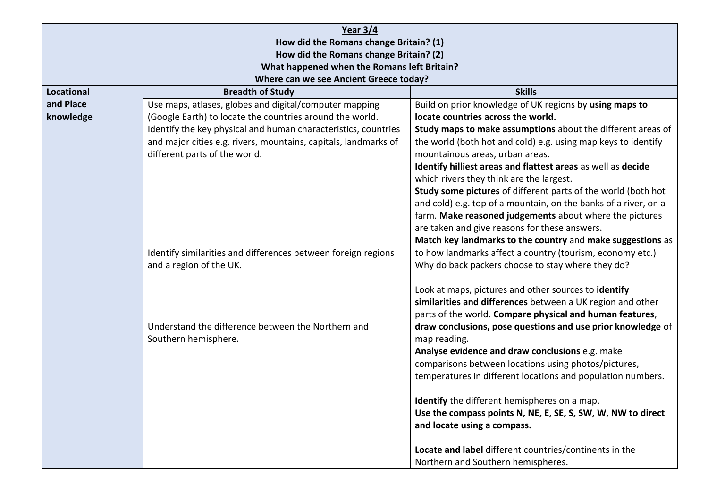| <u>Year 3/4</u>                        |                                                                                                                                                                                      |                                                                                                                                                                                |
|----------------------------------------|--------------------------------------------------------------------------------------------------------------------------------------------------------------------------------------|--------------------------------------------------------------------------------------------------------------------------------------------------------------------------------|
| How did the Romans change Britain? (1) |                                                                                                                                                                                      |                                                                                                                                                                                |
| How did the Romans change Britain? (2) |                                                                                                                                                                                      |                                                                                                                                                                                |
|                                        | What happened when the Romans left Britain?                                                                                                                                          |                                                                                                                                                                                |
|                                        | Where can we see Ancient Greece today?                                                                                                                                               |                                                                                                                                                                                |
| <b>Locational</b>                      | <b>Breadth of Study</b>                                                                                                                                                              | <b>Skills</b>                                                                                                                                                                  |
| and Place<br>knowledge                 | Use maps, atlases, globes and digital/computer mapping<br>(Google Earth) to locate the countries around the world.<br>Identify the key physical and human characteristics, countries | Build on prior knowledge of UK regions by using maps to<br>locate countries across the world.<br>Study maps to make assumptions about the different areas of                   |
|                                        | and major cities e.g. rivers, mountains, capitals, landmarks of<br>different parts of the world.                                                                                     | the world (both hot and cold) e.g. using map keys to identify<br>mountainous areas, urban areas.                                                                               |
|                                        |                                                                                                                                                                                      | Identify hilliest areas and flattest areas as well as decide<br>which rivers they think are the largest.                                                                       |
|                                        |                                                                                                                                                                                      | Study some pictures of different parts of the world (both hot<br>and cold) e.g. top of a mountain, on the banks of a river, on a                                               |
|                                        |                                                                                                                                                                                      | farm. Make reasoned judgements about where the pictures<br>are taken and give reasons for these answers.                                                                       |
|                                        |                                                                                                                                                                                      | Match key landmarks to the country and make suggestions as                                                                                                                     |
|                                        | Identify similarities and differences between foreign regions<br>and a region of the UK.                                                                                             | to how landmarks affect a country (tourism, economy etc.)<br>Why do back packers choose to stay where they do?                                                                 |
|                                        |                                                                                                                                                                                      | Look at maps, pictures and other sources to identify<br>similarities and differences between a UK region and other<br>parts of the world. Compare physical and human features, |
|                                        | Understand the difference between the Northern and<br>Southern hemisphere.                                                                                                           | draw conclusions, pose questions and use prior knowledge of<br>map reading.                                                                                                    |
|                                        |                                                                                                                                                                                      | Analyse evidence and draw conclusions e.g. make<br>comparisons between locations using photos/pictures,                                                                        |
|                                        |                                                                                                                                                                                      | temperatures in different locations and population numbers.                                                                                                                    |
|                                        |                                                                                                                                                                                      | Identify the different hemispheres on a map.                                                                                                                                   |
|                                        |                                                                                                                                                                                      | Use the compass points N, NE, E, SE, S, SW, W, NW to direct<br>and locate using a compass.                                                                                     |
|                                        |                                                                                                                                                                                      | Locate and label different countries/continents in the<br>Northern and Southern hemispheres.                                                                                   |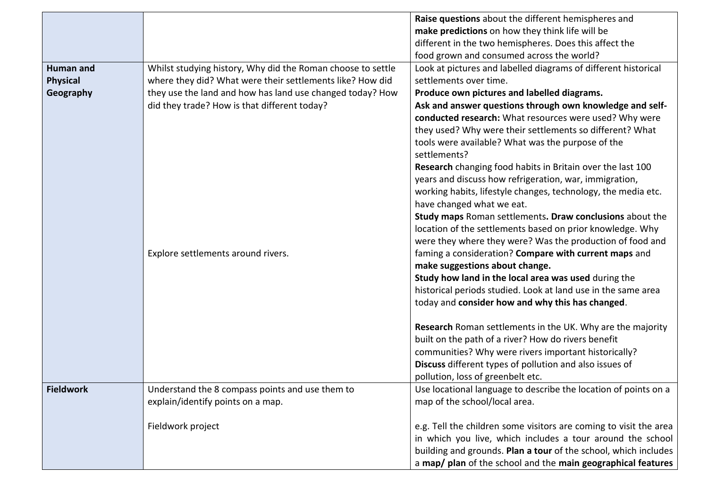|                  |                                                             | Raise questions about the different hemispheres and                                                                  |
|------------------|-------------------------------------------------------------|----------------------------------------------------------------------------------------------------------------------|
|                  |                                                             | make predictions on how they think life will be                                                                      |
|                  |                                                             | different in the two hemispheres. Does this affect the                                                               |
|                  |                                                             | food grown and consumed across the world?                                                                            |
| <b>Human and</b> | Whilst studying history, Why did the Roman choose to settle | Look at pictures and labelled diagrams of different historical                                                       |
| <b>Physical</b>  | where they did? What were their settlements like? How did   | settlements over time.                                                                                               |
| Geography        | they use the land and how has land use changed today? How   | Produce own pictures and labelled diagrams.                                                                          |
|                  | did they trade? How is that different today?                | Ask and answer questions through own knowledge and self-                                                             |
|                  |                                                             | conducted research: What resources were used? Why were                                                               |
|                  |                                                             | they used? Why were their settlements so different? What                                                             |
|                  |                                                             | tools were available? What was the purpose of the                                                                    |
|                  |                                                             | settlements?                                                                                                         |
|                  |                                                             |                                                                                                                      |
|                  |                                                             | Research changing food habits in Britain over the last 100<br>years and discuss how refrigeration, war, immigration, |
|                  |                                                             |                                                                                                                      |
|                  |                                                             | working habits, lifestyle changes, technology, the media etc.                                                        |
|                  |                                                             | have changed what we eat.                                                                                            |
|                  |                                                             | Study maps Roman settlements. Draw conclusions about the                                                             |
|                  |                                                             | location of the settlements based on prior knowledge. Why                                                            |
|                  |                                                             | were they where they were? Was the production of food and                                                            |
|                  | Explore settlements around rivers.                          | faming a consideration? Compare with current maps and                                                                |
|                  |                                                             | make suggestions about change.                                                                                       |
|                  |                                                             | Study how land in the local area was used during the                                                                 |
|                  |                                                             | historical periods studied. Look at land use in the same area                                                        |
|                  |                                                             | today and consider how and why this has changed.                                                                     |
|                  |                                                             | <b>Research</b> Roman settlements in the UK. Why are the majority                                                    |
|                  |                                                             | built on the path of a river? How do rivers benefit                                                                  |
|                  |                                                             | communities? Why were rivers important historically?                                                                 |
|                  |                                                             | Discuss different types of pollution and also issues of                                                              |
|                  |                                                             | pollution, loss of greenbelt etc.                                                                                    |
| <b>Fieldwork</b> | Understand the 8 compass points and use them to             | Use locational language to describe the location of points on a                                                      |
|                  | explain/identify points on a map.                           | map of the school/local area.                                                                                        |
|                  |                                                             |                                                                                                                      |
|                  | Fieldwork project                                           | e.g. Tell the children some visitors are coming to visit the area                                                    |
|                  |                                                             | in which you live, which includes a tour around the school                                                           |
|                  |                                                             | building and grounds. Plan a tour of the school, which includes                                                      |
|                  |                                                             | a map/ plan of the school and the main geographical features                                                         |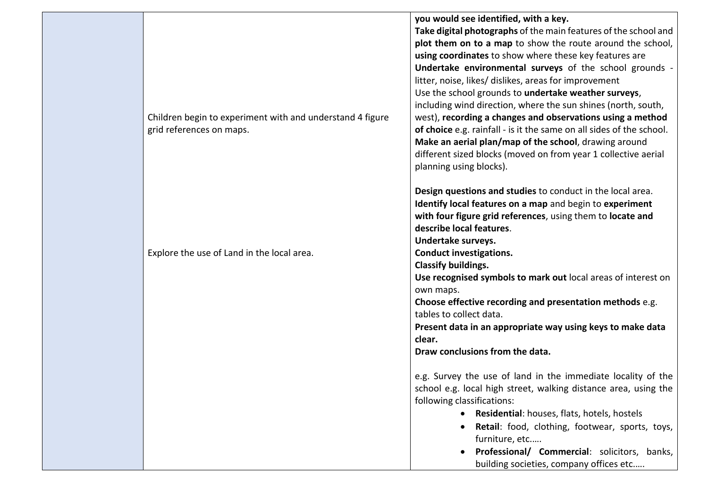| Children begin to experiment with and understand 4 figure<br>grid references on maps. | you would see identified, with a key.<br>Take digital photographs of the main features of the school and<br>plot them on to a map to show the route around the school,<br>using coordinates to show where these key features are<br>Undertake environmental surveys of the school grounds -<br>litter, noise, likes/ dislikes, areas for improvement<br>Use the school grounds to undertake weather surveys,<br>including wind direction, where the sun shines (north, south,<br>west), recording a changes and observations using a method<br>of choice e.g. rainfall - is it the same on all sides of the school.<br>Make an aerial plan/map of the school, drawing around<br>different sized blocks (moved on from year 1 collective aerial<br>planning using blocks). |
|---------------------------------------------------------------------------------------|---------------------------------------------------------------------------------------------------------------------------------------------------------------------------------------------------------------------------------------------------------------------------------------------------------------------------------------------------------------------------------------------------------------------------------------------------------------------------------------------------------------------------------------------------------------------------------------------------------------------------------------------------------------------------------------------------------------------------------------------------------------------------|
| Explore the use of Land in the local area.                                            | Design questions and studies to conduct in the local area.<br>Identify local features on a map and begin to experiment<br>with four figure grid references, using them to locate and<br>describe local features.<br>Undertake surveys.<br><b>Conduct investigations.</b><br><b>Classify buildings.</b><br>Use recognised symbols to mark out local areas of interest on<br>own maps.<br>Choose effective recording and presentation methods e.g.                                                                                                                                                                                                                                                                                                                          |
|                                                                                       | tables to collect data.<br>Present data in an appropriate way using keys to make data<br>clear.<br>Draw conclusions from the data.<br>e.g. Survey the use of land in the immediate locality of the<br>school e.g. local high street, walking distance area, using the<br>following classifications:<br>Residential: houses, flats, hotels, hostels<br>$\bullet$<br>Retail: food, clothing, footwear, sports, toys,<br>furniture, etc<br>Professional/ Commercial: solicitors, banks,<br>$\bullet$<br>building societies, company offices etc                                                                                                                                                                                                                              |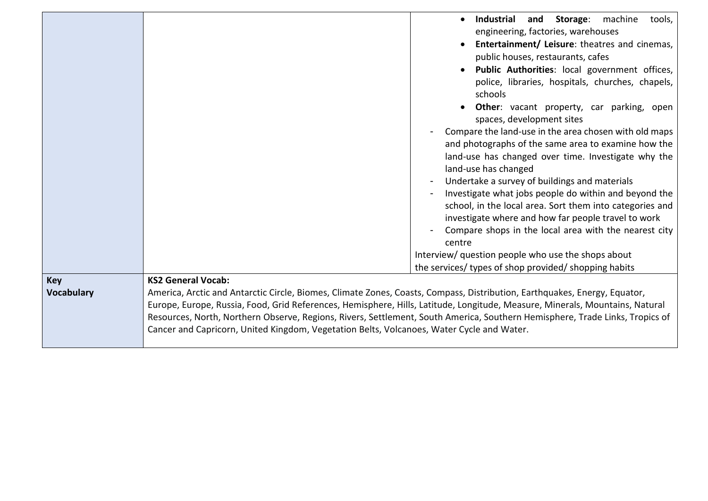|                                 |                                                                                                                                                                                                                                                                                                                                                                                                                                                                                        | Industrial and Storage: machine<br>tools,<br>engineering, factories, warehouses<br>Entertainment/ Leisure: theatres and cinemas,<br>public houses, restaurants, cafes<br>Public Authorities: local government offices,<br>police, libraries, hospitals, churches, chapels,<br>schools<br>Other: vacant property, car parking, open<br>spaces, development sites<br>Compare the land-use in the area chosen with old maps<br>and photographs of the same area to examine how the<br>land-use has changed over time. Investigate why the<br>land-use has changed<br>Undertake a survey of buildings and materials<br>Investigate what jobs people do within and beyond the<br>school, in the local area. Sort them into categories and<br>investigate where and how far people travel to work<br>Compare shops in the local area with the nearest city<br>centre<br>Interview/ question people who use the shops about |
|---------------------------------|----------------------------------------------------------------------------------------------------------------------------------------------------------------------------------------------------------------------------------------------------------------------------------------------------------------------------------------------------------------------------------------------------------------------------------------------------------------------------------------|----------------------------------------------------------------------------------------------------------------------------------------------------------------------------------------------------------------------------------------------------------------------------------------------------------------------------------------------------------------------------------------------------------------------------------------------------------------------------------------------------------------------------------------------------------------------------------------------------------------------------------------------------------------------------------------------------------------------------------------------------------------------------------------------------------------------------------------------------------------------------------------------------------------------|
|                                 | <b>KS2 General Vocab:</b>                                                                                                                                                                                                                                                                                                                                                                                                                                                              | the services/ types of shop provided/ shopping habits                                                                                                                                                                                                                                                                                                                                                                                                                                                                                                                                                                                                                                                                                                                                                                                                                                                                |
| <b>Key</b><br><b>Vocabulary</b> | America, Arctic and Antarctic Circle, Biomes, Climate Zones, Coasts, Compass, Distribution, Earthquakes, Energy, Equator,<br>Europe, Europe, Russia, Food, Grid References, Hemisphere, Hills, Latitude, Longitude, Measure, Minerals, Mountains, Natural<br>Resources, North, Northern Observe, Regions, Rivers, Settlement, South America, Southern Hemisphere, Trade Links, Tropics of<br>Cancer and Capricorn, United Kingdom, Vegetation Belts, Volcanoes, Water Cycle and Water. |                                                                                                                                                                                                                                                                                                                                                                                                                                                                                                                                                                                                                                                                                                                                                                                                                                                                                                                      |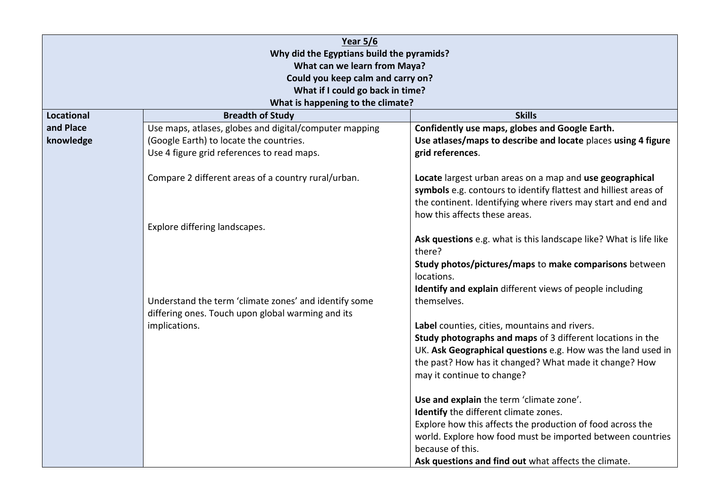| Year $5/6$                                |                                                        |                                                                                                                                                                                               |
|-------------------------------------------|--------------------------------------------------------|-----------------------------------------------------------------------------------------------------------------------------------------------------------------------------------------------|
| Why did the Egyptians build the pyramids? |                                                        |                                                                                                                                                                                               |
| What can we learn from Maya?              |                                                        |                                                                                                                                                                                               |
|                                           | Could you keep calm and carry on?                      |                                                                                                                                                                                               |
|                                           | What if I could go back in time?                       |                                                                                                                                                                                               |
|                                           | What is happening to the climate?                      |                                                                                                                                                                                               |
| <b>Locational</b><br>and Place            | <b>Breadth of Study</b>                                | <b>Skills</b>                                                                                                                                                                                 |
|                                           | Use maps, atlases, globes and digital/computer mapping | Confidently use maps, globes and Google Earth.                                                                                                                                                |
| knowledge                                 | (Google Earth) to locate the countries.                | Use atlases/maps to describe and locate places using 4 figure                                                                                                                                 |
|                                           | Use 4 figure grid references to read maps.             | grid references.                                                                                                                                                                              |
|                                           | Compare 2 different areas of a country rural/urban.    | Locate largest urban areas on a map and use geographical<br>symbols e.g. contours to identify flattest and hilliest areas of<br>the continent. Identifying where rivers may start and end and |
|                                           |                                                        | how this affects these areas.                                                                                                                                                                 |
|                                           | Explore differing landscapes.                          |                                                                                                                                                                                               |
|                                           |                                                        | Ask questions e.g. what is this landscape like? What is life like<br>there?                                                                                                                   |
|                                           |                                                        | Study photos/pictures/maps to make comparisons between<br>locations.                                                                                                                          |
|                                           |                                                        | Identify and explain different views of people including                                                                                                                                      |
|                                           | Understand the term 'climate zones' and identify some  | themselves.                                                                                                                                                                                   |
|                                           | differing ones. Touch upon global warming and its      |                                                                                                                                                                                               |
|                                           | implications.                                          | Label counties, cities, mountains and rivers.                                                                                                                                                 |
|                                           |                                                        | Study photographs and maps of 3 different locations in the                                                                                                                                    |
|                                           |                                                        | UK. Ask Geographical questions e.g. How was the land used in                                                                                                                                  |
|                                           |                                                        | the past? How has it changed? What made it change? How                                                                                                                                        |
|                                           |                                                        | may it continue to change?                                                                                                                                                                    |
|                                           |                                                        | Use and explain the term 'climate zone'.                                                                                                                                                      |
|                                           |                                                        | Identify the different climate zones.                                                                                                                                                         |
|                                           |                                                        | Explore how this affects the production of food across the                                                                                                                                    |
|                                           |                                                        | world. Explore how food must be imported between countries                                                                                                                                    |
|                                           |                                                        | because of this.                                                                                                                                                                              |
|                                           |                                                        | Ask questions and find out what affects the climate.                                                                                                                                          |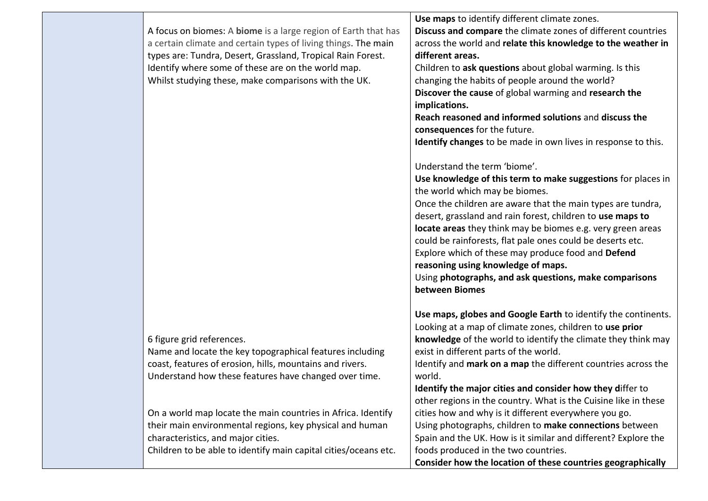|                                                                 | Use maps to identify different climate zones.                   |
|-----------------------------------------------------------------|-----------------------------------------------------------------|
| A focus on biomes: A biome is a large region of Earth that has  | Discuss and compare the climate zones of different countries    |
| a certain climate and certain types of living things. The main  | across the world and relate this knowledge to the weather in    |
| types are: Tundra, Desert, Grassland, Tropical Rain Forest.     | different areas.                                                |
| Identify where some of these are on the world map.              | Children to ask questions about global warming. Is this         |
| Whilst studying these, make comparisons with the UK.            | changing the habits of people around the world?                 |
|                                                                 | Discover the cause of global warming and research the           |
|                                                                 | implications.                                                   |
|                                                                 | Reach reasoned and informed solutions and discuss the           |
|                                                                 | consequences for the future.                                    |
|                                                                 | Identify changes to be made in own lives in response to this.   |
|                                                                 | Understand the term 'biome'.                                    |
|                                                                 | Use knowledge of this term to make suggestions for places in    |
|                                                                 | the world which may be biomes.                                  |
|                                                                 | Once the children are aware that the main types are tundra,     |
|                                                                 | desert, grassland and rain forest, children to use maps to      |
|                                                                 | locate areas they think may be biomes e.g. very green areas     |
|                                                                 | could be rainforests, flat pale ones could be deserts etc.      |
|                                                                 | Explore which of these may produce food and Defend              |
|                                                                 | reasoning using knowledge of maps.                              |
|                                                                 | Using photographs, and ask questions, make comparisons          |
|                                                                 | between Biomes                                                  |
|                                                                 |                                                                 |
|                                                                 | Use maps, globes and Google Earth to identify the continents.   |
|                                                                 | Looking at a map of climate zones, children to use prior        |
| 6 figure grid references.                                       | knowledge of the world to identify the climate they think may   |
| Name and locate the key topographical features including        | exist in different parts of the world.                          |
| coast, features of erosion, hills, mountains and rivers.        | Identify and mark on a map the different countries across the   |
| Understand how these features have changed over time.           | world.                                                          |
|                                                                 | Identify the major cities and consider how they differ to       |
|                                                                 | other regions in the country. What is the Cuisine like in these |
| On a world map locate the main countries in Africa. Identify    | cities how and why is it different everywhere you go.           |
| their main environmental regions, key physical and human        | Using photographs, children to make connections between         |
| characteristics, and major cities.                              | Spain and the UK. How is it similar and different? Explore the  |
| Children to be able to identify main capital cities/oceans etc. | foods produced in the two countries.                            |
|                                                                 | Consider how the location of these countries geographically     |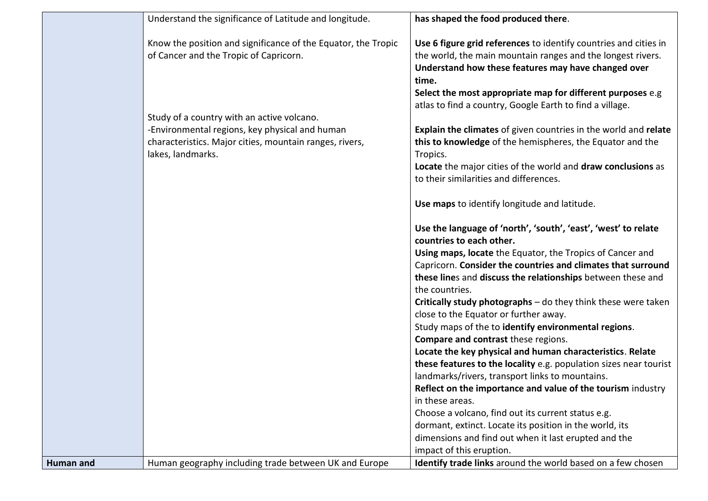|           | Understand the significance of Latitude and longitude.        | has shaped the food produced there.                               |
|-----------|---------------------------------------------------------------|-------------------------------------------------------------------|
|           | Know the position and significance of the Equator, the Tropic | Use 6 figure grid references to identify countries and cities in  |
|           | of Cancer and the Tropic of Capricorn.                        | the world, the main mountain ranges and the longest rivers.       |
|           |                                                               | Understand how these features may have changed over               |
|           |                                                               | time.                                                             |
|           |                                                               | Select the most appropriate map for different purposes e.g        |
|           |                                                               | atlas to find a country, Google Earth to find a village.          |
|           | Study of a country with an active volcano.                    |                                                                   |
|           | -Environmental regions, key physical and human                | Explain the climates of given countries in the world and relate   |
|           | characteristics. Major cities, mountain ranges, rivers,       | this to knowledge of the hemispheres, the Equator and the         |
|           | lakes, landmarks.                                             | Tropics.                                                          |
|           |                                                               | Locate the major cities of the world and draw conclusions as      |
|           |                                                               | to their similarities and differences.                            |
|           |                                                               | Use maps to identify longitude and latitude.                      |
|           |                                                               | Use the language of 'north', 'south', 'east', 'west' to relate    |
|           |                                                               | countries to each other.                                          |
|           |                                                               | Using maps, locate the Equator, the Tropics of Cancer and         |
|           |                                                               | Capricorn. Consider the countries and climates that surround      |
|           |                                                               | these lines and discuss the relationships between these and       |
|           |                                                               | the countries.                                                    |
|           |                                                               | Critically study photographs - do they think these were taken     |
|           |                                                               | close to the Equator or further away.                             |
|           |                                                               | Study maps of the to identify environmental regions.              |
|           |                                                               | Compare and contrast these regions.                               |
|           |                                                               | Locate the key physical and human characteristics. Relate         |
|           |                                                               | these features to the locality e.g. population sizes near tourist |
|           |                                                               | landmarks/rivers, transport links to mountains.                   |
|           |                                                               | Reflect on the importance and value of the tourism industry       |
|           |                                                               | in these areas.                                                   |
|           |                                                               | Choose a volcano, find out its current status e.g.                |
|           |                                                               | dormant, extinct. Locate its position in the world, its           |
|           |                                                               | dimensions and find out when it last erupted and the              |
|           |                                                               | impact of this eruption.                                          |
| Human and | Human geography including trade between UK and Europe         | Identify trade links around the world based on a few chosen       |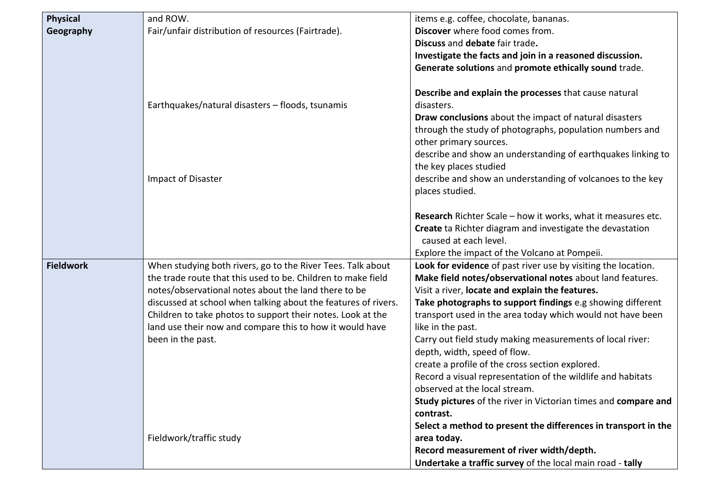| <b>Physical</b>  | and ROW.                                                       | items e.g. coffee, chocolate, bananas.                                                                         |
|------------------|----------------------------------------------------------------|----------------------------------------------------------------------------------------------------------------|
| Geography        | Fair/unfair distribution of resources (Fairtrade).             | Discover where food comes from.                                                                                |
|                  |                                                                | Discuss and debate fair trade.                                                                                 |
|                  |                                                                | Investigate the facts and join in a reasoned discussion.                                                       |
|                  |                                                                | Generate solutions and promote ethically sound trade.                                                          |
|                  |                                                                |                                                                                                                |
|                  | Earthquakes/natural disasters - floods, tsunamis               | Describe and explain the processes that cause natural<br>disasters.                                            |
|                  |                                                                | Draw conclusions about the impact of natural disasters                                                         |
|                  |                                                                | through the study of photographs, population numbers and                                                       |
|                  |                                                                | other primary sources.<br>describe and show an understanding of earthquakes linking to                         |
|                  |                                                                | the key places studied                                                                                         |
|                  | <b>Impact of Disaster</b>                                      | describe and show an understanding of volcanoes to the key                                                     |
|                  |                                                                | places studied.                                                                                                |
|                  |                                                                |                                                                                                                |
|                  |                                                                | Research Richter Scale - how it works, what it measures etc.                                                   |
|                  |                                                                | Create ta Richter diagram and investigate the devastation                                                      |
|                  |                                                                | caused at each level.                                                                                          |
|                  |                                                                | Explore the impact of the Volcano at Pompeii.                                                                  |
| <b>Fieldwork</b> | When studying both rivers, go to the River Tees. Talk about    | Look for evidence of past river use by visiting the location.                                                  |
|                  | the trade route that this used to be. Children to make field   | Make field notes/observational notes about land features.                                                      |
|                  | notes/observational notes about the land there to be           | Visit a river, locate and explain the features.                                                                |
|                  | discussed at school when talking about the features of rivers. | Take photographs to support findings e.g showing different                                                     |
|                  | Children to take photos to support their notes. Look at the    | transport used in the area today which would not have been                                                     |
|                  | land use their now and compare this to how it would have       | like in the past.                                                                                              |
|                  | been in the past.                                              | Carry out field study making measurements of local river:                                                      |
|                  |                                                                | depth, width, speed of flow.                                                                                   |
|                  |                                                                | create a profile of the cross section explored.<br>Record a visual representation of the wildlife and habitats |
|                  |                                                                | observed at the local stream.                                                                                  |
|                  |                                                                | Study pictures of the river in Victorian times and compare and                                                 |
|                  |                                                                | contrast.                                                                                                      |
|                  |                                                                | Select a method to present the differences in transport in the                                                 |
|                  | Fieldwork/traffic study                                        | area today.                                                                                                    |
|                  |                                                                | Record measurement of river width/depth.                                                                       |
|                  |                                                                | Undertake a traffic survey of the local main road - tally                                                      |